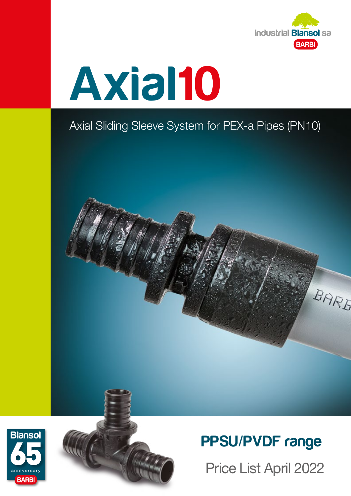



## Axial Sliding Sleeve System for PEX-a Pipes (PN10)







## PPSU/PVDF range

Price List April 2022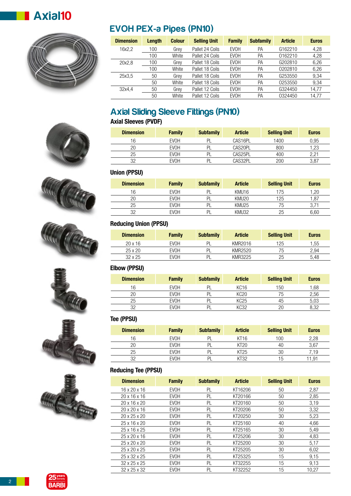



## EVOH PEX-a Pipes (PN10)

| <b>Dimension</b> | Length | <b>Colour</b> | <b>Selling Unit</b> | <b>Family</b> | <b>Subfamily</b> | <b>Article</b> | <b>Euros</b> |
|------------------|--------|---------------|---------------------|---------------|------------------|----------------|--------------|
| 16x2.2           | 100    | Grey          | Pallet 24 Coils     | <b>EVOH</b>   | PA               | G162210        | 4,28         |
|                  | 100    | White         | Pallet 24 Coils     | <b>EVOH</b>   | PA               | 0162210        | 4,28         |
| 20x2.8           | 100    | Grey          | Pallet 18 Coils     | <b>EVOH</b>   | PA               | G202810        | 6,26         |
|                  | 100    | White         | Pallet 18 Coils     | <b>EVOH</b>   | PA               | 0202810        | 6,26         |
| 25x3.5           | 50     | Grey          | Pallet 18 Coils     | <b>EVOH</b>   | PA               | G253550        | 9.34         |
|                  | 50     | White         | Pallet 18 Coils     | <b>EVOH</b>   | PA               | 0253550        | 9,34         |
| 32x4.4           | 50     | Grey          | Pallet 12 Coils     | <b>EVOH</b>   | PA               | G324450        | 14.77        |
|                  | 50     | White         | Pallet 12 Coils     | <b>EVOH</b>   | PA               | 0324450        | 14.77        |

## Axial Sliding Sleeve Fittings (PN10)

## **Axial Sleeves (PVDF)**

| <b>Dimension</b> | <b>Family</b> | <b>Subfamily</b> | <b>Article</b> | <b>Selling Unit</b> | <b>Euros</b> |
|------------------|---------------|------------------|----------------|---------------------|--------------|
| 16               | EVOH          | DI               | CAS16PL        | 1400                | 0.95         |
| 20               | <b>EVOH</b>   |                  | CAS20PL        | 800                 | 1.23         |
| 25               | <b>EVOH</b>   | וח               | CAS25PL        | 400                 | 2.21         |
| 32               | <b>EVOH</b>   |                  | CAS32PL        | 200                 | 3,87         |

## **Union (PPSU)**

| <b>Dimension</b> | <b>Family</b> | <b>Subfamily</b> | <b>Article</b>    | <b>Selling Unit</b> | <b>Euros</b> |
|------------------|---------------|------------------|-------------------|---------------------|--------------|
| 16               | <b>EVOH</b>   | ΡI               | KMU16             | 175                 | .20          |
| 20               | <b>EVOH</b>   | PI               | KMU <sub>20</sub> | 125                 | 87، ا        |
| 25               | <b>EVOH</b>   | PI               | KMU <sub>25</sub> | 75                  |              |
| つつ               | EVOH          | DI               | KMU32             | 25                  | 6,60         |

### **Reducing Union (PPSU)**

| <b>Dimension</b> | <b>Family</b> | <b>Subfamily</b> | <b>Article</b> | <b>Selling Unit</b> | <b>Euros</b> |
|------------------|---------------|------------------|----------------|---------------------|--------------|
| $20 \times 16$   | EVOH          | PI               | KMR2016        | 125                 | 1.55         |
| $25 \times 20$   | EVOH          | PI               | KMR2520        | 75                  | 2.94         |
| $32 \times 25$   | EVOH          | PI               | KMR3225        | 25                  | 5.48         |

#### **Elbow (PPSU)**

| <b>Dimension</b> | <b>Family</b> | <b>Subfamily</b> | <b>Article</b>   | <b>Selling Unit</b> | <b>Euros</b> |
|------------------|---------------|------------------|------------------|---------------------|--------------|
| 16               | EVOH          | PI               | KC <sub>16</sub> | 150                 | 1.68         |
|                  | EVOH          |                  | KC20             | 75                  | 2,56         |
| 25               | EVOH          |                  | KC25             | 45                  | 5,03         |
| つつ               | EVOH          | וח               | KC32             | 20                  | 8.32         |

#### **Tee (PPSU)**

| <b>Dimension</b> | <b>Family</b> | <b>Subfamily</b> | <b>Article</b> | <b>Selling Unit</b> | <b>Euros</b> |
|------------------|---------------|------------------|----------------|---------------------|--------------|
| 16               | <b>EVOH</b>   | ום               | KT16           | 100                 | 2.28         |
|                  | EVOH          |                  | KT20           | 40                  | 3.67         |
| 25               | EVOH          | ורי              | KT25           | 30                  | 7.19         |
| מכי              | EVOH          |                  | $\sqrt{32}$    | 15                  | .91          |

### **Reducing Tee (PPSU)**

| <b>Dimension</b>         | <b>Family</b> | <b>Subfamily</b> | <b>Article</b> | <b>Selling Unit</b> | <b>Euros</b> |
|--------------------------|---------------|------------------|----------------|---------------------|--------------|
| $16 \times 20 \times 16$ | <b>EVOH</b>   | PI               | KT16206        | 50                  | 2,87         |
| 20x16x16                 | EVOH          | PL               | KT20166        | 50                  | 2.85         |
| 20 x 16 x 20             | <b>EVOH</b>   | PL               | KT20160        | 50                  | 3,19         |
| $20 \times 20 \times 16$ | <b>EVOH</b>   | PL               | KT20206        | 50                  | 3,32         |
| 20 x 25 x 20             | EVOH          | PL               | KT20250        | 30                  | 5,23         |
| 25 x 16 x 20             | EVOH          | PL               | KT25160        | 40                  | 4.66         |
| 25 x 16 x 25             | <b>EVOH</b>   | PL               | KT25165        | 30                  | 5,49         |
| 25 x 20 x 16             | <b>EVOH</b>   | PL               | KT25206        | 30                  | 4,83         |
| 25 x 20 x 20             | <b>EVOH</b>   | PL               | KT25200        | 30                  | 5,17         |
| 25 x 20 x 25             | <b>EVOH</b>   | PI               | KT25205        | 30                  | 6,02         |
| 25 x 32 x 25             | <b>EVOH</b>   | PL               | KT25325        | 15                  | 9,15         |
| 32 x 25 x 25             | <b>EVOH</b>   | PI               | KT32255        | 15                  | 9,13         |
| 32 x 25 x 32             | <b>EVOH</b>   | PL               | KT32252        | 15                  | 10,27        |











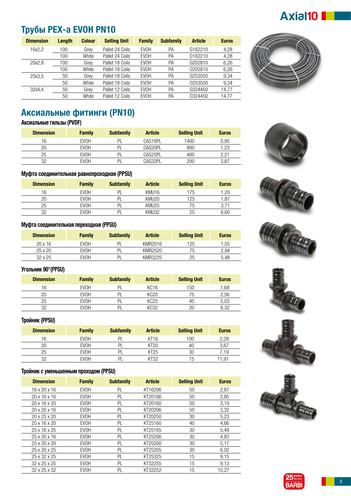## Axial10

## **Трубы PEX-a EVOH PN10**

| <b>Dimension</b> | Length | <b>Colour</b> | <b>Selling Unit</b> | <b>Family</b> | <b>Subfamily</b> | <b>Article</b>      | <b>Euros</b> |
|------------------|--------|---------------|---------------------|---------------|------------------|---------------------|--------------|
| 16x2,2           | 100    | Grey          | Pallet 24 Coils     | <b>EVOH</b>   | PA               | G <sub>162210</sub> | 4,28         |
|                  | 100    | White         | Pallet 24 Coils     | <b>EVOH</b>   | РA               | 0162210             | 4.28         |
| 20x2.8           | 100    | Grey          | Pallet 18 Coils     | <b>EVOH</b>   | РA               | G202810             | 6.26         |
|                  | 100    | White         | Pallet 18 Coils     | <b>EVOH</b>   | РA               | 0202810             | 6.26         |
| 25x3.5           | 50     | Grey          | Pallet 18 Coils     | <b>EVOH</b>   | PA               | G253550             | 9.34         |
|                  | 50     | White         | Pallet 18 Coils     | <b>EVOH</b>   | РA               | 0253550             | 9.34         |
| 32x4.4           | 50     | Grev          | Pallet 12 Coils     | <b>EVOH</b>   | РA               | G324450             | 14,77        |
|                  | 50     | White         | Pallet 12 Coils     | <b>EVOH</b>   | РA               | 0324450             | 14,77        |



## **Аксиальные фитинги (PN10)**

**Аксиальные гильзы (PVDF)**

| <b>Dimension</b> | <b>Family</b> | <b>Subfamily</b> | <b>Article</b> | <b>Selling Unit</b> | <b>Euros</b> |
|------------------|---------------|------------------|----------------|---------------------|--------------|
| 16               | <b>EVOH</b>   | PI               | CAS16PL        | 1400                | 0.95         |
| 20               | <b>EVOH</b>   | DI               | CAS20PL        | 800                 | 1.23         |
| 25               | <b>EVOH</b>   | וס               | CAS25PL        | 400                 | 2.21         |
| つつ               | <b>EVOH</b>   | וס               | CAS32PL        | 200                 | 3,87         |



| <b>Dimension</b> | <b>Family</b> | <b>Subfamily</b> | <b>Article</b>    | <b>Selling Unit</b> | <b>Euros</b> |
|------------------|---------------|------------------|-------------------|---------------------|--------------|
| 16               | <b>EVOH</b>   | וח               | KMU <sub>16</sub> | 175                 | 1.20         |
| 20               | <b>EVOH</b>   | וח               | KMU <sub>20</sub> | 125                 | .87          |
| 25               | EVOH          |                  | KMU25             | 75                  |              |
| מכ               | <b>EVOH</b>   |                  | KMU32             | 25                  | 6,60         |

#### **Муфта соединительная переходная (PPSU)**

| <b>Dimension</b> | <b>Family</b> | <b>Subfamily</b> | <b>Article</b> | <b>Selling Unit</b> | <b>Euros</b> |
|------------------|---------------|------------------|----------------|---------------------|--------------|
| $20 \times 16$   | EVOH          | PI               | KMR2016        | 125                 | 1.55         |
| 25 x 20          | EVOH          | PL               | KMR2520        | 75                  | 2.94         |
| $32 \times 25$   | EVOH          | PI               | KMR3225        | 25                  | 5.48         |

#### **Угольник 90°(PPSU)**

| <b>Dimension</b> | <b>Family</b> | <b>Subfamily</b> | <b>Article</b>   | <b>Selling Unit</b> | <b>Euros</b> |
|------------------|---------------|------------------|------------------|---------------------|--------------|
| 16               | <b>EVOH</b>   | וח               | KC <sub>16</sub> | 150                 | .68          |
| 20               | <b>EVOH</b>   |                  | KC20             | 75                  | 2,56         |
| 25               | <b>EVOH</b>   | וח               | KC25             | 45                  | 5,03         |
| つつ               | <b>EVOH</b>   |                  | KC32             | 20                  | 8.32         |

#### **Тройник (PPSU)**

| <b>Dimension</b> | <b>Family</b> | <b>Subfamily</b> | <b>Article</b> | <b>Selling Unit</b> | <b>Euros</b> |
|------------------|---------------|------------------|----------------|---------------------|--------------|
| 16               | <b>EVOH</b>   | Pl               | KT16           | 100                 | 2,28         |
| 20               | <b>EVOH</b>   | PI               | KT20           | 40                  | 3,67         |
| 25               | <b>EVOH</b>   | Pl               | KT25           | 30                  | '.19         |
| つつ               | EVOH          | PI               | KT32           | 15                  | 11.91        |

#### **Тройник c уменьшенным проходом (PPSU)**

| <b>Dimension</b>         | <b>Family</b> | <b>Subfamily</b> | <b>Article</b> | <b>Selling Unit</b> | <b>Euros</b> |
|--------------------------|---------------|------------------|----------------|---------------------|--------------|
| $16 \times 20 \times 16$ | <b>EVOH</b>   | PL               | KT16206        | 50                  | 2,87         |
| 20x16x16                 | <b>EVOH</b>   | PL               | KT20166        | 50                  | 2.85         |
| $20 \times 16 \times 20$ | <b>EVOH</b>   | PL               | KT20160        | 50                  | 3,19         |
| $20 \times 20 \times 16$ | <b>EVOH</b>   | PL               | KT20206        | 50                  | 3,32         |
| 20 x 25 x 20             | <b>EVOH</b>   | PL               | KT20250        | 30                  | 5,23         |
| 25 x 16 x 20             | <b>EVOH</b>   | PL               | KT25160        | 40                  | 4,66         |
| 25x16x25                 | <b>EVOH</b>   | PL               | KT25165        | 30                  | 5,49         |
| 25 x 20 x 16             | <b>EVOH</b>   | PL               | KT25206        | 30                  | 4,83         |
| 25 x 20 x 20             | EVOH          | PL               | KT25200        | 30                  | 5,17         |
| 25 x 20 x 25             | EVOH          | PL               | KT25205        | 30                  | 6,02         |
| 25 x 32 x 25             | <b>EVOH</b>   | PL               | KT25325        | 15                  | 9.15         |
| $32 \times 25 \times 25$ | <b>EVOH</b>   | PL               | KT32255        | 15                  | 9,13         |
| 32 x 25 x 32             | <b>EVOH</b>   | PL               | KT32252        | 15                  | 10.27        |